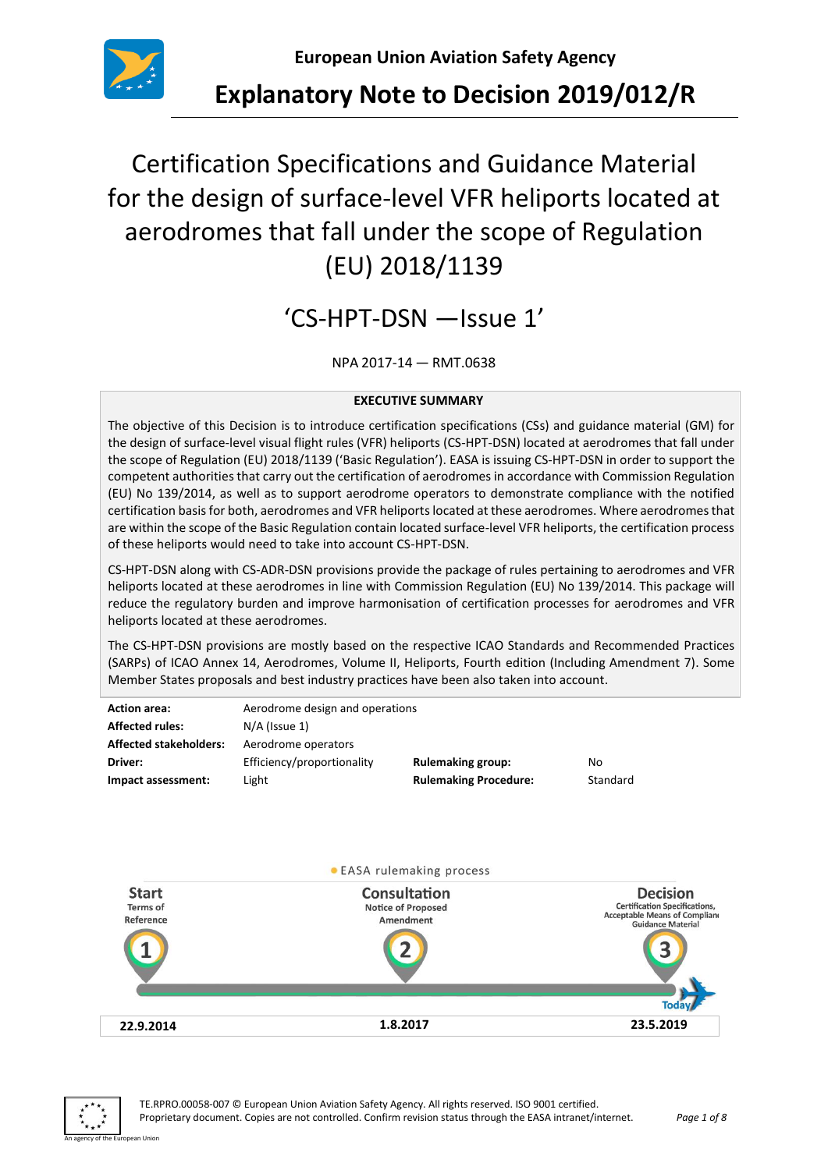

**Explanatory Note to Decision 2019/012/R**

# Certification Specifications and Guidance Material for the design of surface-level VFR heliports located at aerodromes that fall under the scope of Regulation (EU) 2018/1139

# 'CS-HPT-DSN —Issue 1'

NPA 2017-14 — RMT.0638

#### **EXECUTIVE SUMMARY**

The objective of this Decision is to introduce certification specifications (CSs) and guidance material (GM) for the design of surface-level visual flight rules (VFR) heliports (CS-HPT-DSN) located at aerodromes that fall under the scope of Regulation (EU) 2018/1139 ('Basic Regulation'). EASA is issuing CS-HPT-DSN in order to support the competent authoritiesthat carry out the certification of aerodromes in accordance with Commission Regulation (EU) No 139/2014, as well as to support aerodrome operators to demonstrate compliance with the notified certification basis for both, aerodromes and VFR heliportslocated at these aerodromes. Where aerodromes that are within the scope of the Basic Regulation contain located surface-level VFR heliports, the certification process of these heliports would need to take into account CS-HPT-DSN.

CS-HPT-DSN along with CS-ADR-DSN provisions provide the package of rules pertaining to aerodromes and VFR heliports located at these aerodromes in line with Commission Regulation (EU) No 139/2014. This package will reduce the regulatory burden and improve harmonisation of certification processes for aerodromes and VFR heliports located at these aerodromes.

The CS-HPT-DSN provisions are mostly based on the respective ICAO Standards and Recommended Practices (SARPs) of ICAO Annex 14, Aerodromes, Volume II, Heliports, Fourth edition (Including Amendment 7). Some Member States proposals and best industry practices have been also taken into account.

| <b>Action area:</b>           | Aerodrome design and operations |                              |          |
|-------------------------------|---------------------------------|------------------------------|----------|
| <b>Affected rules:</b>        | $N/A$ (Issue 1)                 |                              |          |
| <b>Affected stakeholders:</b> | Aerodrome operators             |                              |          |
| Driver:                       | Efficiency/proportionality      | <b>Rulemaking group:</b>     | No       |
| Impact assessment:            | Light                           | <b>Rulemaking Procedure:</b> | Standard |
|                               |                                 |                              |          |



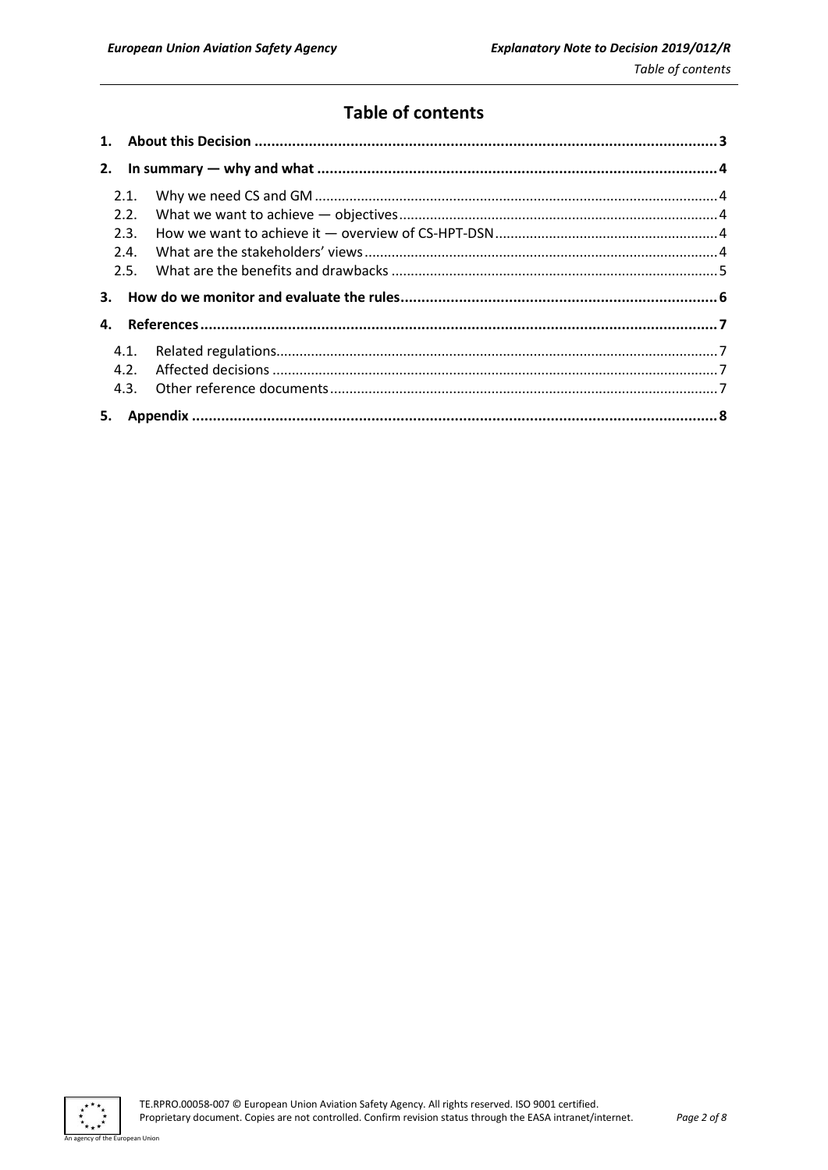## **Table of contents**

| 2.   |  |
|------|--|
| 2.1. |  |
| 2.2. |  |
| 2.3. |  |
| 2.4. |  |
| 2.5. |  |
| 3.   |  |
| 4.   |  |
| 4.1. |  |
| 4.2. |  |
| 4.3. |  |
| 5.   |  |

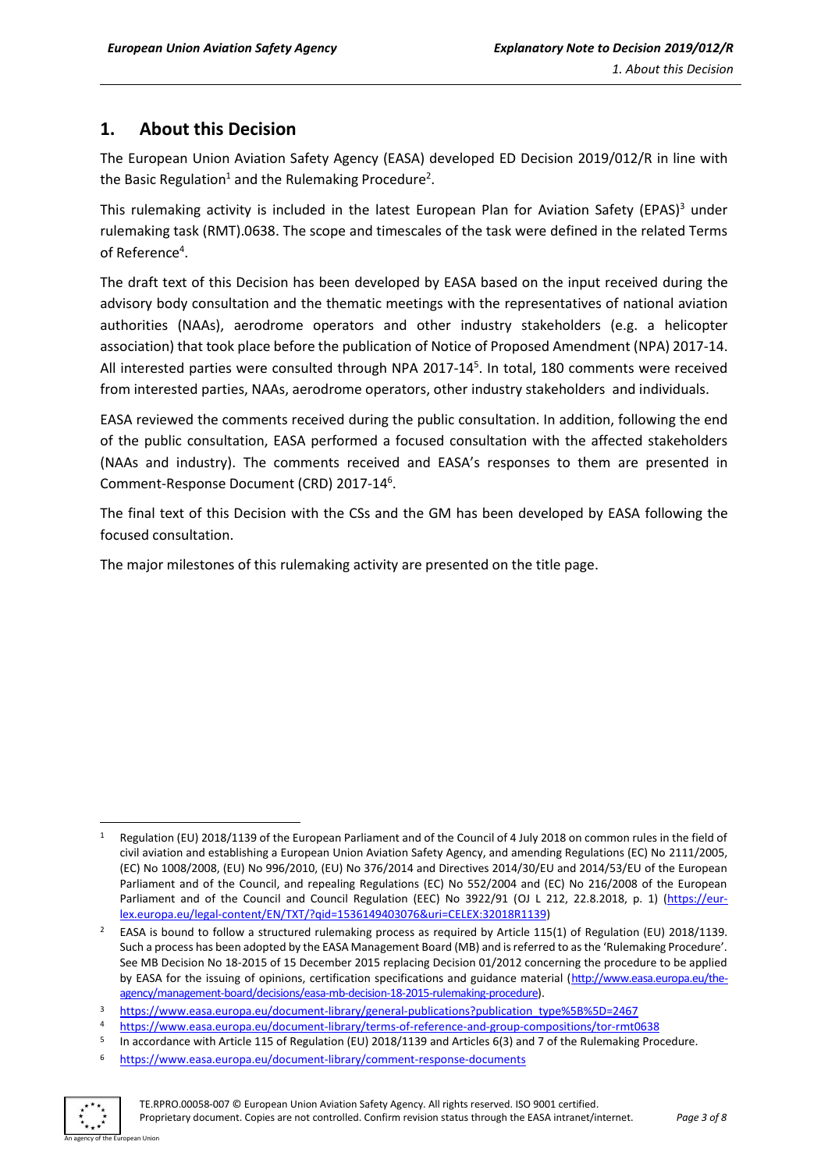## <span id="page-2-0"></span>**1. About this Decision**

The European Union Aviation Safety Agency (EASA) developed ED Decision 2019/012/R in line with the Basic Regulation<sup>1</sup> and the Rulemaking Procedure<sup>2</sup>.

This rulemaking activity is included in the latest European Plan for Aviation Safety (EPAS)<sup>3</sup> under rulemaking task (RMT).0638. The scope and timescales of the task were defined in the related Terms of Reference<sup>4</sup>.

The draft text of this Decision has been developed by EASA based on the input received during the advisory body consultation and the thematic meetings with the representatives of national aviation authorities (NAAs), aerodrome operators and other industry stakeholders (e.g. a helicopter association) that took place before the publication of Notice of Proposed Amendment (NPA) 2017-14. All interested parties were consulted through NPA 2017-14<sup>5</sup>. In total, 180 comments were received from interested parties, NAAs, aerodrome operators, other industry stakeholders and individuals.

EASA reviewed the comments received during the public consultation. In addition, following the end of the public consultation, EASA performed a focused consultation with the affected stakeholders (NAAs and industry). The comments received and EASA's responses to them are presented in Comment-Response Document (CRD) 2017-14<sup>6</sup>.

The final text of this Decision with the CSs and the GM has been developed by EASA following the focused consultation.

The major milestones of this rulemaking activity are presented on the title page.

<sup>6</sup> <https://www.easa.europa.eu/document-library/comment-response-documents>



**<sup>.</sup>** Regulation (EU) 2018/1139 of the European Parliament and of the Council of 4 July 2018 on common rules in the field of civil aviation and establishing a European Union Aviation Safety Agency, and amending Regulations (EC) No 2111/2005, (EC) No 1008/2008, (EU) No 996/2010, (EU) No 376/2014 and Directives 2014/30/EU and 2014/53/EU of the European Parliament and of the Council, and repealing Regulations (EC) No 552/2004 and (EC) No 216/2008 of the European Parliament and of the Council and Council Regulation (EEC) No 3922/91 (OJ L 212, 22.8.2018, p. 1) [\(https://eur](https://eur-lex.europa.eu/legal-content/EN/TXT/?qid=1536149403076&uri=CELEX:32018R1139)[lex.europa.eu/legal-content/EN/TXT/?qid=1536149403076&uri=CELEX:32018R1139\)](https://eur-lex.europa.eu/legal-content/EN/TXT/?qid=1536149403076&uri=CELEX:32018R1139)

<sup>2</sup> EASA is bound to follow a structured rulemaking process as required by Article 115(1) of Regulation (EU) 2018/1139. Such a process has been adopted by the EASA Management Board (MB) and is referred to as the 'Rulemaking Procedure'. See MB Decision No 18-2015 of 15 December 2015 replacing Decision 01/2012 concerning the procedure to be applied by EASA for the issuing of opinions, certification specifications and guidance material [\(http://www.easa.europa.eu/the](http://www.easa.europa.eu/the-agency/management-board/decisions/easa-mb-decision-18-2015-rulemaking-procedure)[agency/management-board/decisions/easa-mb-decision-18-2015-rulemaking-procedure\)](http://www.easa.europa.eu/the-agency/management-board/decisions/easa-mb-decision-18-2015-rulemaking-procedure).

<sup>3</sup> [https://www.easa.europa.eu/document-library/general-publications?publication\\_type%5B%5D=2467](https://www.easa.europa.eu/document-library/general-publications?publication_type%5B%5D=2467)

<sup>4</sup> <https://www.easa.europa.eu/document-library/terms-of-reference-and-group-compositions/tor-rmt0638>

<sup>5</sup> In accordance with Article 115 of Regulation (EU) 2018/1139 and Articles 6(3) and 7 of the Rulemaking Procedure.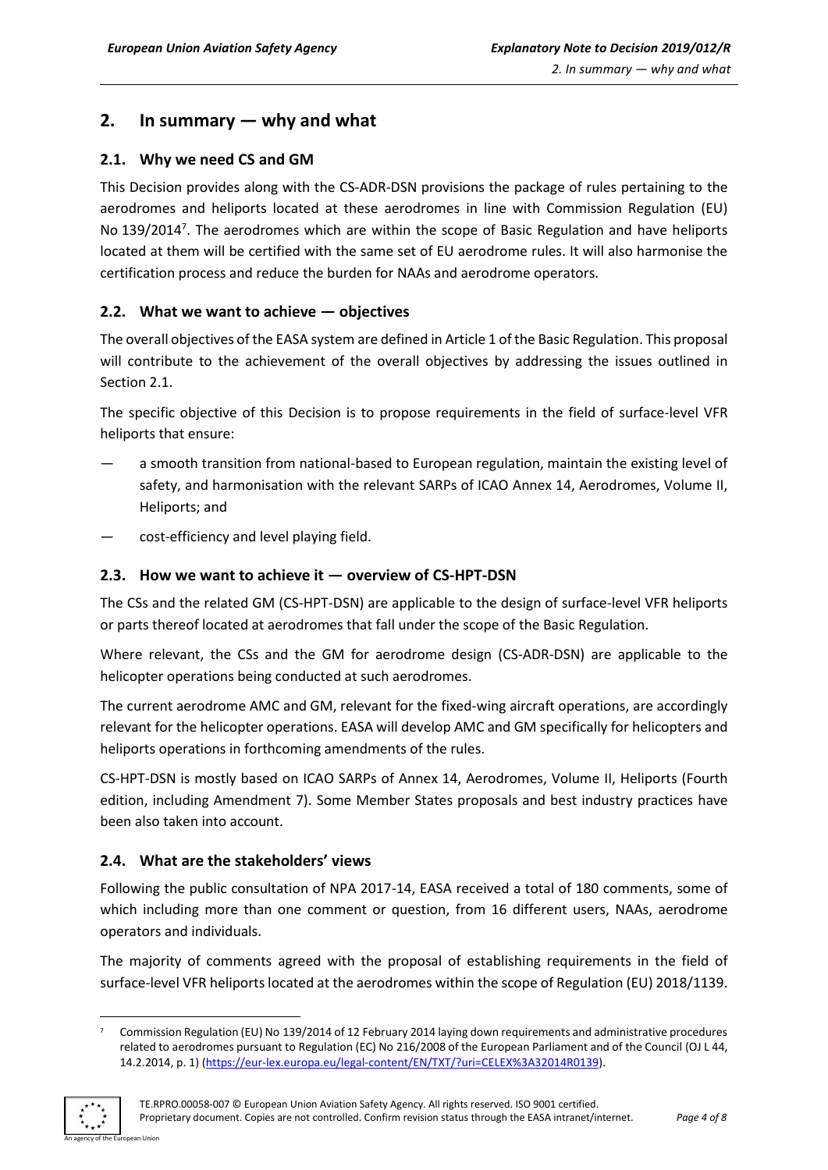## <span id="page-3-0"></span>**2. In summary — why and what**

#### <span id="page-3-1"></span>**2.1. Why we need CS and GM**

This Decision provides along with the CS-ADR-DSN provisions the package of rules pertaining to the aerodromes and heliports located at these aerodromes in line with Commission Regulation (EU) No 139/2014<sup>7</sup>. The aerodromes which are within the scope of Basic Regulation and have heliports located at them will be certified with the same set of EU aerodrome rules. It will also harmonise the certification process and reduce the burden for NAAs and aerodrome operators.

#### <span id="page-3-2"></span>**2.2. What we want to achieve — objectives**

The overall objectives of the EASA system are defined in Article 1 of the Basic Regulation. This proposal will contribute to the achievement of the overall objectives by addressing the issues outlined in Section 2.1.

The specific objective of this Decision is to propose requirements in the field of surface-level VFR heliports that ensure:

- a smooth transition from national-based to European regulation, maintain the existing level of safety, and harmonisation with the relevant SARPs of ICAO Annex 14, Aerodromes, Volume II, Heliports; and
- cost-efficiency and level playing field.

#### <span id="page-3-3"></span>**2.3. How we want to achieve it — overview of CS-HPT-DSN**

The CSs and the related GM (CS-HPT-DSN) are applicable to the design of surface-level VFR heliports or parts thereof located at aerodromes that fall under the scope of the Basic Regulation.

Where relevant, the CSs and the GM for aerodrome design (CS-ADR-DSN) are applicable to the helicopter operations being conducted at such aerodromes.

The current aerodrome AMC and GM, relevant for the fixed-wing aircraft operations, are accordingly relevant for the helicopter operations. EASA will develop AMC and GM specifically for helicopters and heliports operations in forthcoming amendments of the rules.

CS-HPT-DSN is mostly based on ICAO SARPs of Annex 14, Aerodromes, Volume II, Heliports (Fourth edition, including Amendment 7). Some Member States proposals and best industry practices have been also taken into account.

#### <span id="page-3-4"></span>**2.4. What are the stakeholders' views**

Following the public consultation of NPA 2017-14, EASA received a total of 180 comments, some of which including more than one comment or question, from 16 different users, NAAs, aerodrome operators and individuals.

The majority of comments agreed with the proposal of establishing requirements in the field of surface-level VFR heliports located at the aerodromes within the scope of Regulation (EU) 2018/1139.

<sup>7</sup> Commission Regulation (EU) No 139/2014 of 12 February 2014 laying down requirements and administrative procedures related to aerodromes pursuant to Regulation (EC) No 216/2008 of the European Parliament and of the Council (OJ L 44, 14.2.2014, p. 1) [\(https://eur-lex.europa.eu/legal-content/EN/TXT/?uri=CELEX%3A32014R0139\)](https://eur-lex.europa.eu/legal-content/EN/TXT/?uri=CELEX%3A32014R0139).



**.**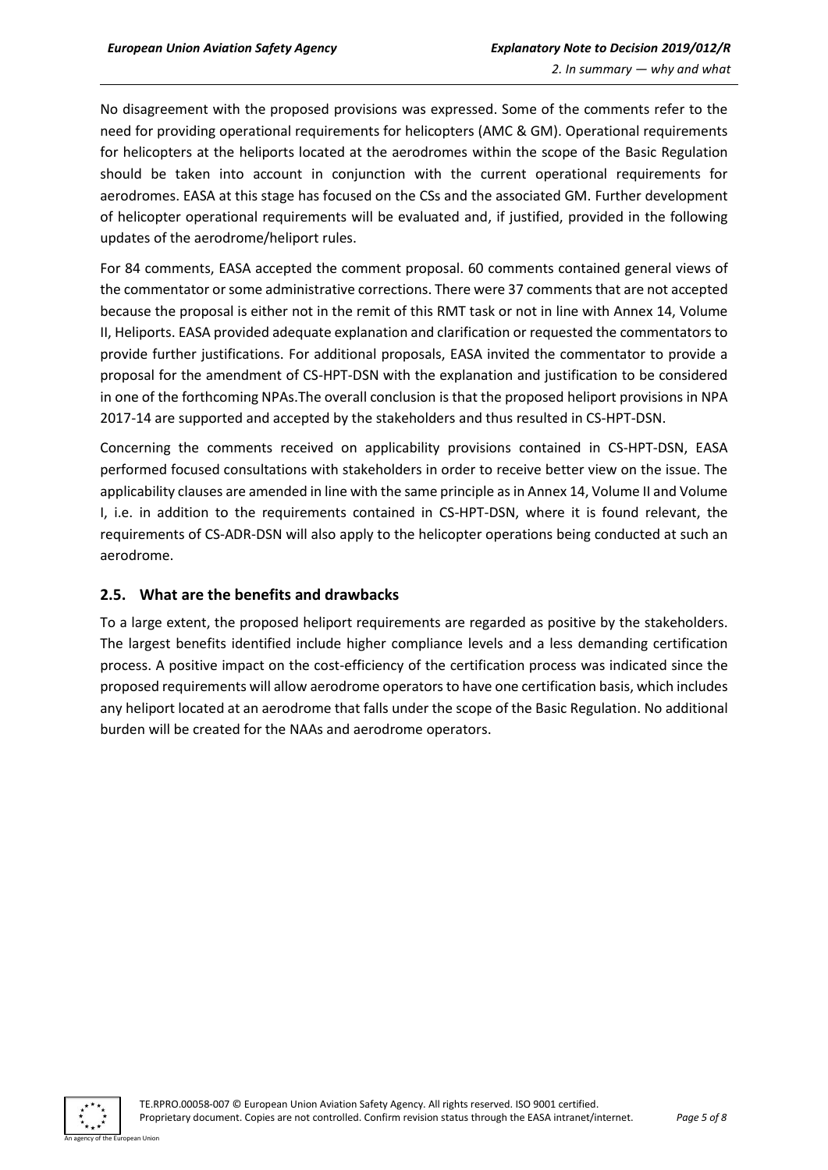No disagreement with the proposed provisions was expressed. Some of the comments refer to the need for providing operational requirements for helicopters (AMC & GM). Operational requirements for helicopters at the heliports located at the aerodromes within the scope of the Basic Regulation should be taken into account in conjunction with the current operational requirements for aerodromes. EASA at this stage has focused on the CSs and the associated GM. Further development of helicopter operational requirements will be evaluated and, if justified, provided in the following updates of the aerodrome/heliport rules.

For 84 comments, EASA accepted the comment proposal. 60 comments contained general views of the commentator or some administrative corrections. There were 37 comments that are not accepted because the proposal is either not in the remit of this RMT task or not in line with Annex 14, Volume II, Heliports. EASA provided adequate explanation and clarification or requested the commentators to provide further justifications. For additional proposals, EASA invited the commentator to provide a proposal for the amendment of CS-HPT-DSN with the explanation and justification to be considered in one of the forthcoming NPAs.The overall conclusion is that the proposed heliport provisions in NPA 2017-14 are supported and accepted by the stakeholders and thus resulted in CS-HPT-DSN.

Concerning the comments received on applicability provisions contained in CS-HPT-DSN, EASA performed focused consultations with stakeholders in order to receive better view on the issue. The applicability clauses are amended in line with the same principle asin Annex 14, Volume II and Volume I, i.e. in addition to the requirements contained in CS-HPT-DSN, where it is found relevant, the requirements of CS-ADR-DSN will also apply to the helicopter operations being conducted at such an aerodrome.

#### <span id="page-4-0"></span>**2.5. What are the benefits and drawbacks**

To a large extent, the proposed heliport requirements are regarded as positive by the stakeholders. The largest benefits identified include higher compliance levels and a less demanding certification process. A positive impact on the cost-efficiency of the certification process was indicated since the proposed requirements will allow aerodrome operators to have one certification basis, which includes any heliport located at an aerodrome that falls under the scope of the Basic Regulation. No additional burden will be created for the NAAs and aerodrome operators.

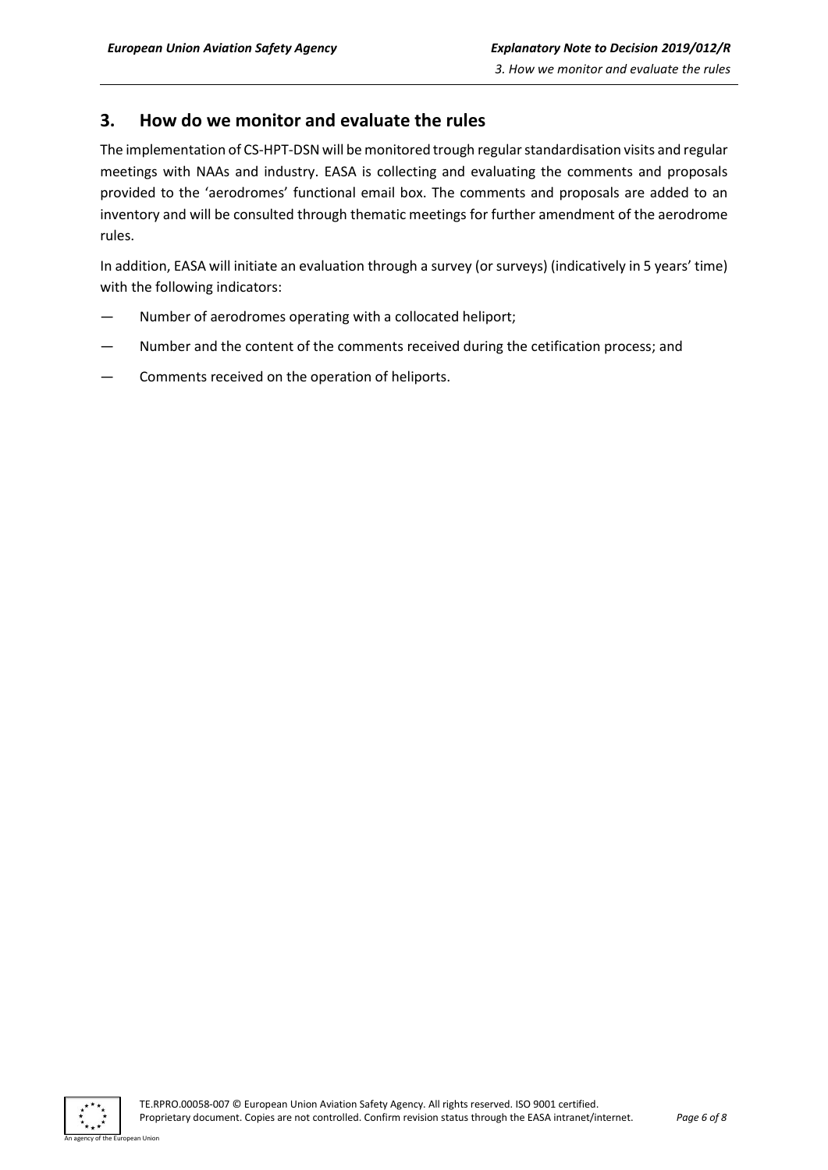### <span id="page-5-0"></span>**3. How do we monitor and evaluate the rules**

The implementation of CS-HPT-DSN will be monitored trough regular standardisation visits and regular meetings with NAAs and industry. EASA is collecting and evaluating the comments and proposals provided to the 'aerodromes' functional email box. The comments and proposals are added to an inventory and will be consulted through thematic meetings for further amendment of the aerodrome rules.

In addition, EASA will initiate an evaluation through a survey (or surveys) (indicatively in 5 years' time) with the following indicators:

- Number of aerodromes operating with a collocated heliport;
- Number and the content of the comments received during the cetification process; and
- Comments received on the operation of heliports.

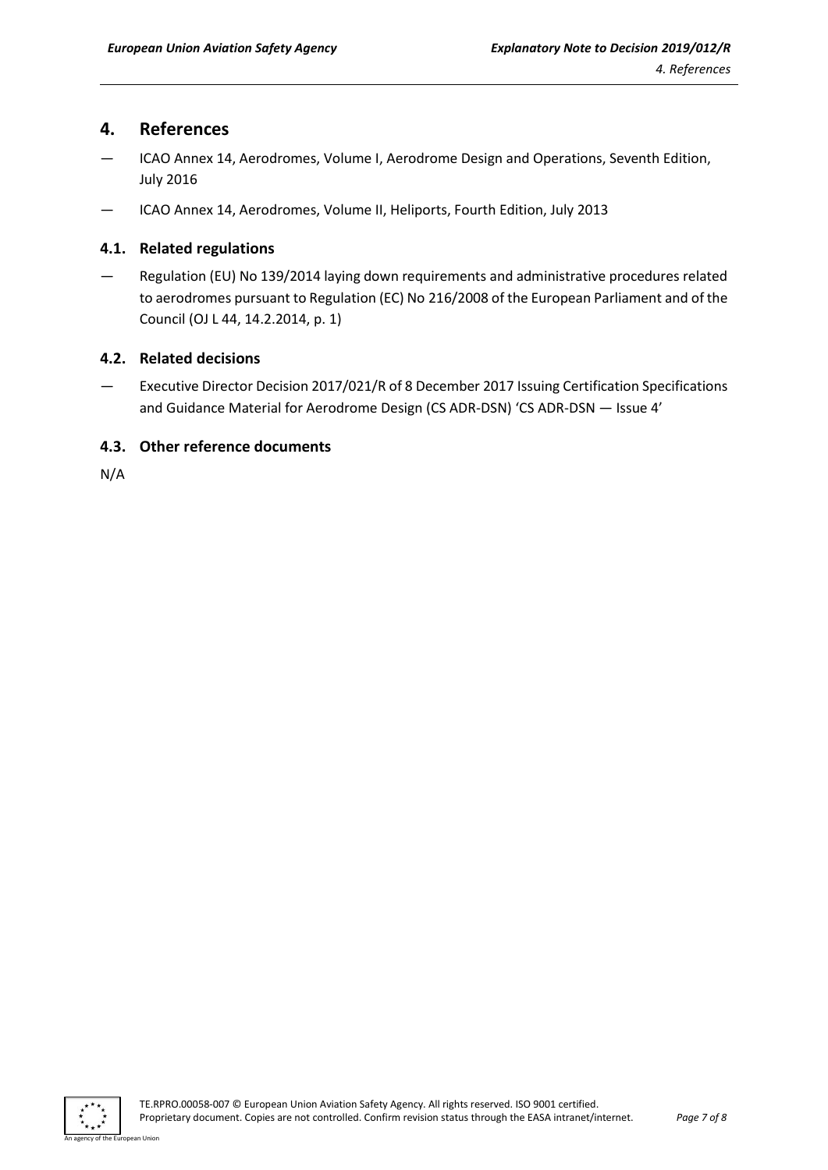### <span id="page-6-0"></span>**4. References**

- ICAO Annex 14, Aerodromes, Volume I, Aerodrome Design and Operations, Seventh Edition, July 2016
- ICAO Annex 14, Aerodromes, Volume II, Heliports, Fourth Edition, July 2013

#### <span id="page-6-1"></span>**4.1. Related regulations**

— Regulation (EU) No 139/2014 laying down requirements and administrative procedures related to aerodromes pursuant to Regulation (EC) No 216/2008 of the European Parliament and of the Council (OJ L 44, 14.2.2014, p. 1)

#### <span id="page-6-2"></span>**4.2. Related decisions**

— Executive Director Decision 2017/021/R of 8 December 2017 Issuing Certification Specifications and Guidance Material for Aerodrome Design (CS ADR-DSN) 'CS ADR-DSN — Issue 4'

#### <span id="page-6-3"></span>**4.3. Other reference documents**

N/A